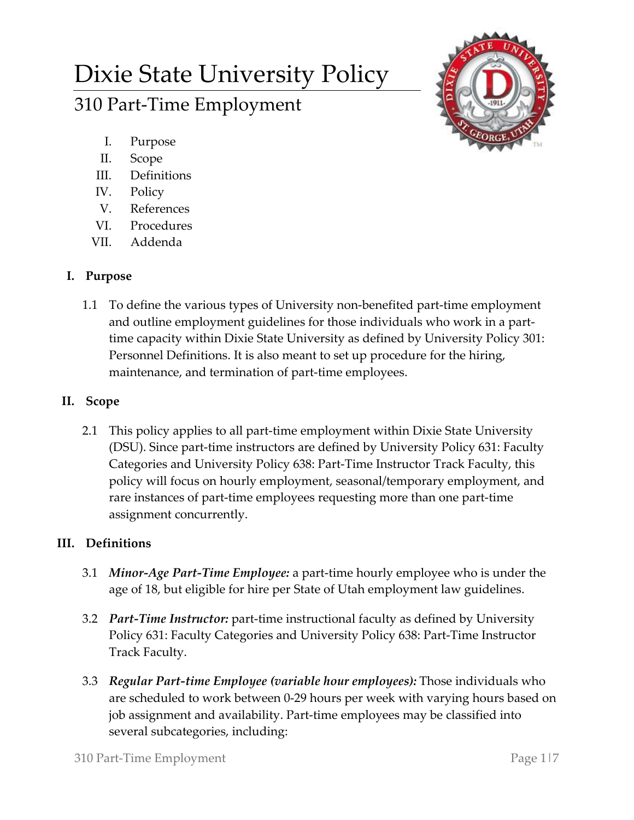# Dixie State University Policy 310 Part-Time Employment



- I. Purpose
- II. Scope
- III. Definitions
- IV. Policy
- V. References
- VI. Procedures
- VII. Addenda

# **I. Purpose**

1.1 To define the various types of University non-benefited part-time employment and outline employment guidelines for those individuals who work in a parttime capacity within Dixie State University as defined by University Policy 301: Personnel Definitions. It is also meant to set up procedure for the hiring, maintenance, and termination of part-time employees.

## **II. Scope**

2.1 This policy applies to all part-time employment within Dixie State University (DSU). Since part-time instructors are defined by University Policy 631: Faculty Categories and University Policy 638: Part-Time Instructor Track Faculty, this policy will focus on hourly employment, seasonal/temporary employment, and rare instances of part-time employees requesting more than one part-time assignment concurrently.

# **III. Definitions**

- 3.1 *Minor-Age Part-Time Employee:* a part-time hourly employee who is under the age of 18, but eligible for hire per State of Utah employment law guidelines.
- 3.2 *Part-Time Instructor:* part-time instructional faculty as defined by University Policy 631: Faculty Categories and University Policy 638: Part-Time Instructor Track Faculty.
- 3.3 *Regular Part-time Employee (variable hour employees):* Those individuals who are scheduled to work between 0-29 hours per week with varying hours based on job assignment and availability. Part-time employees may be classified into several subcategories, including: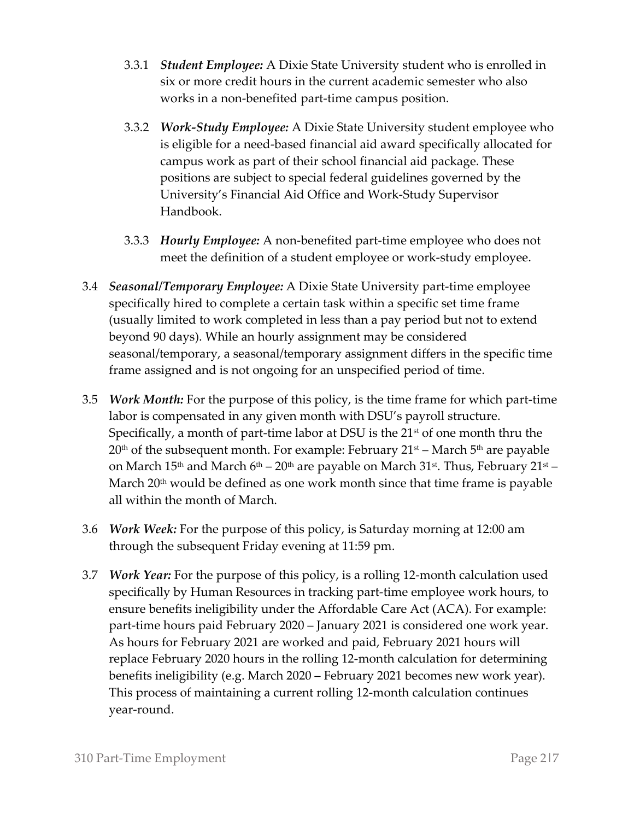- 3.3.1 *Student Employee:* A Dixie State University student who is enrolled in six or more credit hours in the current academic semester who also works in a non-benefited part-time campus position.
- 3.3.2 *Work-Study Employee:* A Dixie State University student employee who is eligible for a need-based financial aid award specifically allocated for campus work as part of their school financial aid package. These positions are subject to special federal guidelines governed by the University's Financial Aid Office and Work-Study Supervisor Handbook.
- 3.3.3 *Hourly Employee:* A non-benefited part-time employee who does not meet the definition of a student employee or work-study employee.
- 3.4 *Seasonal/Temporary Employee:* A Dixie State University part-time employee specifically hired to complete a certain task within a specific set time frame (usually limited to work completed in less than a pay period but not to extend beyond 90 days). While an hourly assignment may be considered seasonal/temporary, a seasonal/temporary assignment differs in the specific time frame assigned and is not ongoing for an unspecified period of time.
- 3.5 *Work Month:* For the purpose of this policy, is the time frame for which part-time labor is compensated in any given month with DSU's payroll structure. Specifically, a month of part-time labor at DSU is the 21<sup>st</sup> of one month thru the  $20<sup>th</sup>$  of the subsequent month. For example: February  $21<sup>st</sup>$  – March  $5<sup>th</sup>$  are payable on March 15<sup>th</sup> and March  $6<sup>th</sup> - 20<sup>th</sup>$  are payable on March 31<sup>st</sup>. Thus, February 21<sup>st</sup> – March  $20<sup>th</sup>$  would be defined as one work month since that time frame is payable all within the month of March.
- 3.6 *Work Week:* For the purpose of this policy, is Saturday morning at 12:00 am through the subsequent Friday evening at 11:59 pm.
- 3.7 *Work Year:* For the purpose of this policy, is a rolling 12-month calculation used specifically by Human Resources in tracking part-time employee work hours, to ensure benefits ineligibility under the Affordable Care Act (ACA). For example: part-time hours paid February 2020 – January 2021 is considered one work year. As hours for February 2021 are worked and paid, February 2021 hours will replace February 2020 hours in the rolling 12-month calculation for determining benefits ineligibility (e.g. March 2020 – February 2021 becomes new work year). This process of maintaining a current rolling 12-month calculation continues year-round.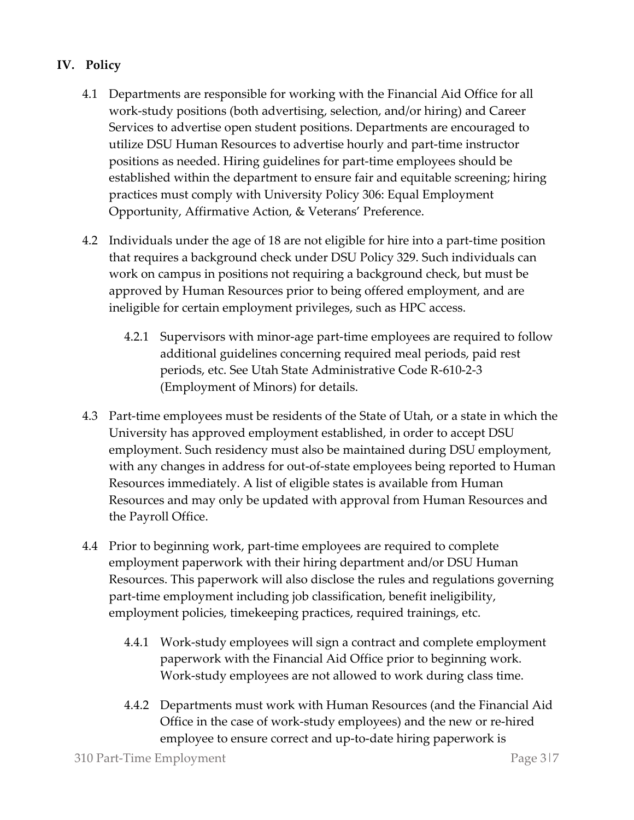## **IV. Policy**

- 4.1 Departments are responsible for working with the Financial Aid Office for all work-study positions (both advertising, selection, and/or hiring) and Career Services to advertise open student positions. Departments are encouraged to utilize DSU Human Resources to advertise hourly and part-time instructor positions as needed. Hiring guidelines for part-time employees should be established within the department to ensure fair and equitable screening; hiring practices must comply with University Policy 306: Equal Employment Opportunity, Affirmative Action, & Veterans' Preference.
- 4.2 Individuals under the age of 18 are not eligible for hire into a part-time position that requires a background check under DSU Policy 329. Such individuals can work on campus in positions not requiring a background check, but must be approved by Human Resources prior to being offered employment, and are ineligible for certain employment privileges, such as HPC access.
	- 4.2.1 Supervisors with minor-age part-time employees are required to follow additional guidelines concerning required meal periods, paid rest periods, etc. See Utah State Administrative Code R-610-2-3 (Employment of Minors) for details.
- 4.3 Part-time employees must be residents of the State of Utah, or a state in which the University has approved employment established, in order to accept DSU employment. Such residency must also be maintained during DSU employment, with any changes in address for out-of-state employees being reported to Human Resources immediately. A list of eligible states is available from Human Resources and may only be updated with approval from Human Resources and the Payroll Office.
- 4.4 Prior to beginning work, part-time employees are required to complete employment paperwork with their hiring department and/or DSU Human Resources. This paperwork will also disclose the rules and regulations governing part-time employment including job classification, benefit ineligibility, employment policies, timekeeping practices, required trainings, etc.
	- 4.4.1 Work-study employees will sign a contract and complete employment paperwork with the Financial Aid Office prior to beginning work. Work-study employees are not allowed to work during class time.
	- 4.4.2 Departments must work with Human Resources (and the Financial Aid Office in the case of work-study employees) and the new or re-hired employee to ensure correct and up-to-date hiring paperwork is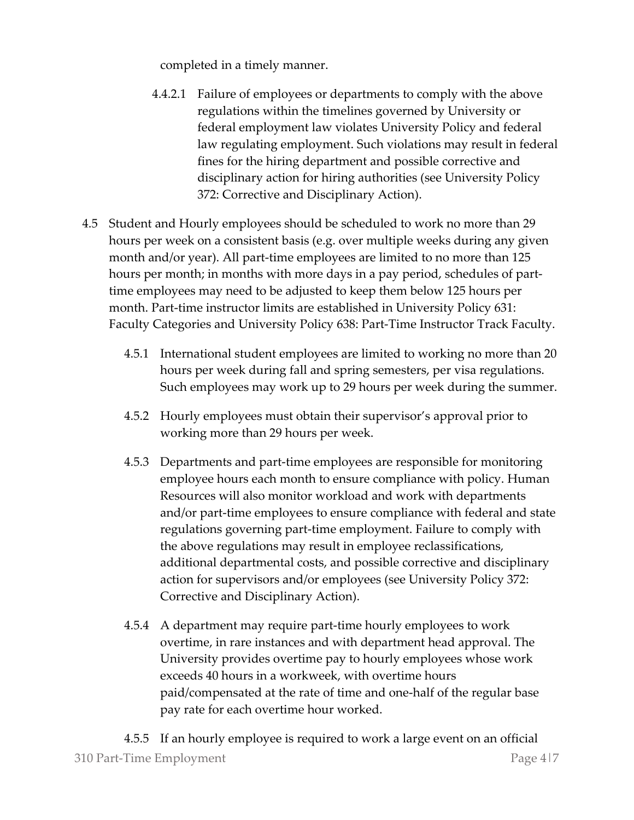completed in a timely manner.

- 4.4.2.1 Failure of employees or departments to comply with the above regulations within the timelines governed by University or federal employment law violates University Policy and federal law regulating employment. Such violations may result in federal fines for the hiring department and possible corrective and disciplinary action for hiring authorities (see University Policy 372: Corrective and Disciplinary Action).
- 4.5 Student and Hourly employees should be scheduled to work no more than 29 hours per week on a consistent basis (e.g. over multiple weeks during any given month and/or year). All part-time employees are limited to no more than 125 hours per month; in months with more days in a pay period, schedules of parttime employees may need to be adjusted to keep them below 125 hours per month. Part-time instructor limits are established in University Policy 631: Faculty Categories and University Policy 638: Part-Time Instructor Track Faculty.
	- 4.5.1 International student employees are limited to working no more than 20 hours per week during fall and spring semesters, per visa regulations. Such employees may work up to 29 hours per week during the summer.
	- 4.5.2 Hourly employees must obtain their supervisor's approval prior to working more than 29 hours per week.
	- 4.5.3 Departments and part-time employees are responsible for monitoring employee hours each month to ensure compliance with policy. Human Resources will also monitor workload and work with departments and/or part-time employees to ensure compliance with federal and state regulations governing part-time employment. Failure to comply with the above regulations may result in employee reclassifications, additional departmental costs, and possible corrective and disciplinary action for supervisors and/or employees (see University Policy 372: Corrective and Disciplinary Action).
	- 4.5.4 A department may require part-time hourly employees to work overtime, in rare instances and with department head approval. The University provides overtime pay to hourly employees whose work exceeds 40 hours in a workweek, with overtime hours paid/compensated at the rate of time and one-half of the regular base pay rate for each overtime hour worked.

310 Part-Time Employment Page 4|7 4.5.5 If an hourly employee is required to work a large event on an official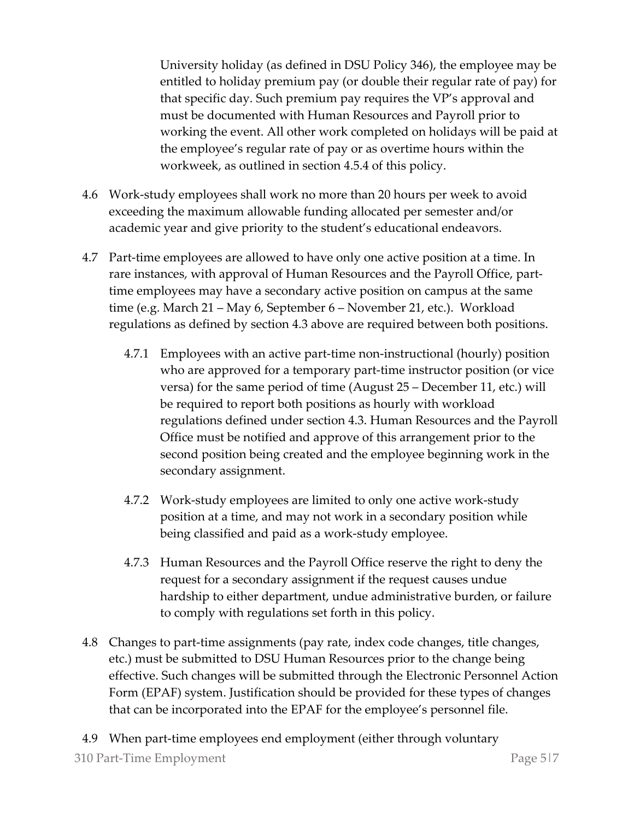University holiday (as defined in DSU Policy 346), the employee may be entitled to holiday premium pay (or double their regular rate of pay) for that specific day. Such premium pay requires the VP's approval and must be documented with Human Resources and Payroll prior to working the event. All other work completed on holidays will be paid at the employee's regular rate of pay or as overtime hours within the workweek, as outlined in section 4.5.4 of this policy.

- 4.6 Work-study employees shall work no more than 20 hours per week to avoid exceeding the maximum allowable funding allocated per semester and/or academic year and give priority to the student's educational endeavors.
- 4.7 Part-time employees are allowed to have only one active position at a time. In rare instances, with approval of Human Resources and the Payroll Office, parttime employees may have a secondary active position on campus at the same time (e.g. March 21 – May 6, September 6 – November 21, etc.). Workload regulations as defined by section 4.3 above are required between both positions.
	- 4.7.1 Employees with an active part-time non-instructional (hourly) position who are approved for a temporary part-time instructor position (or vice versa) for the same period of time (August 25 – December 11, etc.) will be required to report both positions as hourly with workload regulations defined under section 4.3. Human Resources and the Payroll Office must be notified and approve of this arrangement prior to the second position being created and the employee beginning work in the secondary assignment.
	- 4.7.2 Work-study employees are limited to only one active work-study position at a time, and may not work in a secondary position while being classified and paid as a work-study employee.
	- 4.7.3 Human Resources and the Payroll Office reserve the right to deny the request for a secondary assignment if the request causes undue hardship to either department, undue administrative burden, or failure to comply with regulations set forth in this policy.
- 4.8 Changes to part-time assignments (pay rate, index code changes, title changes, etc.) must be submitted to DSU Human Resources prior to the change being effective. Such changes will be submitted through the Electronic Personnel Action Form (EPAF) system. Justification should be provided for these types of changes that can be incorporated into the EPAF for the employee's personnel file.
- 310 Part-Time Employment **Page 5** Page 5 Page 5 Page 5 Page 5 Page 5 Page 5 Page 2 4.9 When part-time employees end employment (either through voluntary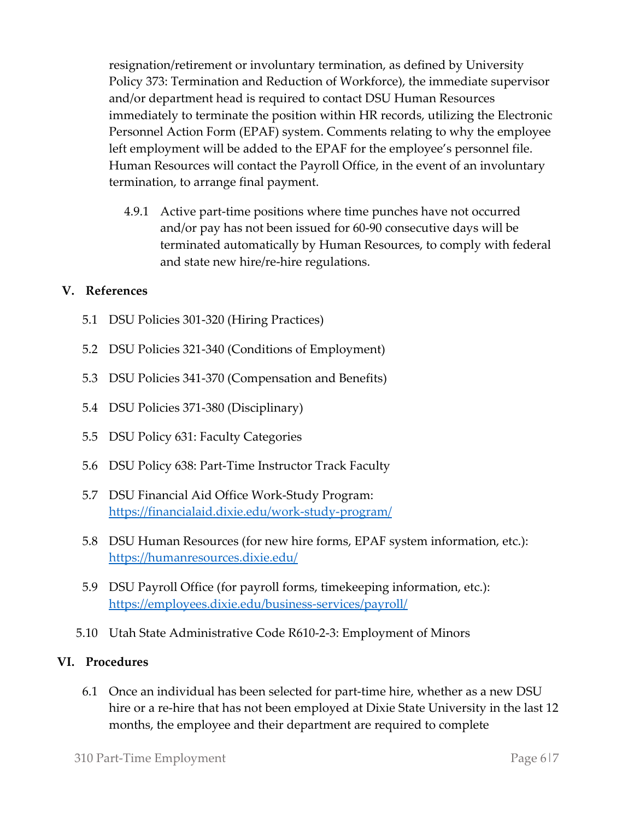resignation/retirement or involuntary termination, as defined by University Policy 373: Termination and Reduction of Workforce), the immediate supervisor and/or department head is required to contact DSU Human Resources immediately to terminate the position within HR records, utilizing the Electronic Personnel Action Form (EPAF) system. Comments relating to why the employee left employment will be added to the EPAF for the employee's personnel file. Human Resources will contact the Payroll Office, in the event of an involuntary termination, to arrange final payment.

4.9.1 Active part-time positions where time punches have not occurred and/or pay has not been issued for 60-90 consecutive days will be terminated automatically by Human Resources, to comply with federal and state new hire/re-hire regulations.

## **V. References**

- 5.1 DSU Policies 301-320 (Hiring Practices)
- 5.2 DSU Policies 321-340 (Conditions of Employment)
- 5.3 DSU Policies 341-370 (Compensation and Benefits)
- 5.4 DSU Policies 371-380 (Disciplinary)
- 5.5 DSU Policy 631: Faculty Categories
- 5.6 DSU Policy 638: Part-Time Instructor Track Faculty
- 5.7 DSU Financial Aid Office Work-Study Program: <https://financialaid.dixie.edu/work-study-program/>
- 5.8 DSU Human Resources (for new hire forms, EPAF system information, etc.): <https://humanresources.dixie.edu/>
- 5.9 DSU Payroll Office (for payroll forms, timekeeping information, etc.): <https://employees.dixie.edu/business-services/payroll/>
- 5.10 Utah State Administrative Code R610-2-3: Employment of Minors

## **VI. Procedures**

6.1 Once an individual has been selected for part-time hire, whether as a new DSU hire or a re-hire that has not been employed at Dixie State University in the last 12 months, the employee and their department are required to complete